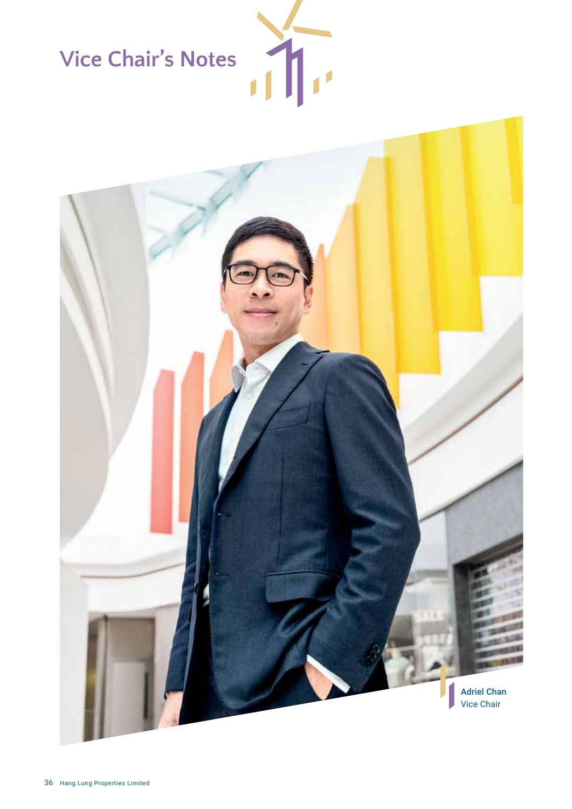# **Vice Chair's Notes**



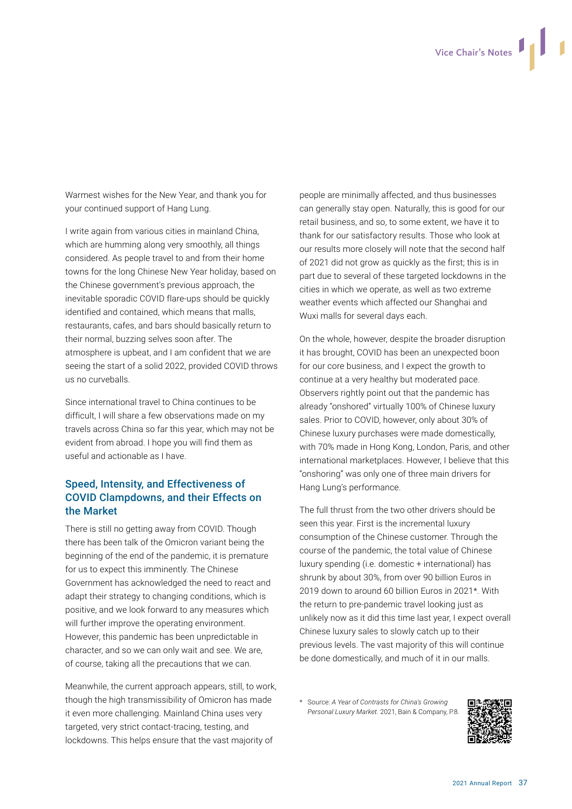Warmest wishes for the New Year, and thank you for your continued support of Hang Lung.

I write again from various cities in mainland China, which are humming along very smoothly, all things considered. As people travel to and from their home towns for the long Chinese New Year holiday, based on the Chinese government's previous approach, the inevitable sporadic COVID flare-ups should be quickly identified and contained, which means that malls, restaurants, cafes, and bars should basically return to their normal, buzzing selves soon after. The atmosphere is upbeat, and I am confident that we are seeing the start of a solid 2022, provided COVID throws us no curveballs.

Since international travel to China continues to be difficult, I will share a few observations made on my travels across China so far this year, which may not be evident from abroad. I hope you will find them as useful and actionable as I have.

## Speed, Intensity, and Effectiveness of COVID Clampdowns, and their Effects on the Market

There is still no getting away from COVID. Though there has been talk of the Omicron variant being the beginning of the end of the pandemic, it is premature for us to expect this imminently. The Chinese Government has acknowledged the need to react and adapt their strategy to changing conditions, which is positive, and we look forward to any measures which will further improve the operating environment. However, this pandemic has been unpredictable in character, and so we can only wait and see. We are, of course, taking all the precautions that we can.

Meanwhile, the current approach appears, still, to work, though the high transmissibility of Omicron has made it even more challenging. Mainland China uses very targeted, very strict contact-tracing, testing, and lockdowns. This helps ensure that the vast majority of

people are minimally affected, and thus businesses can generally stay open. Naturally, this is good for our retail business, and so, to some extent, we have it to thank for our satisfactory results. Those who look at our results more closely will note that the second half of 2021 did not grow as quickly as the first; this is in part due to several of these targeted lockdowns in the cities in which we operate, as well as two extreme weather events which affected our Shanghai and Wuxi malls for several days each.

On the whole, however, despite the broader disruption it has brought, COVID has been an unexpected boon for our core business, and I expect the growth to continue at a very healthy but moderated pace. Observers rightly point out that the pandemic has already "onshored" virtually 100% of Chinese luxury sales. Prior to COVID, however, only about 30% of Chinese luxury purchases were made domestically, with 70% made in Hong Kong, London, Paris, and other international marketplaces. However, I believe that this "onshoring" was only one of three main drivers for Hang Lung's performance.

The full thrust from the two other drivers should be seen this year. First is the incremental luxury consumption of the Chinese customer. Through the course of the pandemic, the total value of Chinese luxury spending (i.e. domestic + international) has shrunk by about 30%, from over 90 billion Euros in 2019 down to around 60 billion Euros in 2021\*. With the return to pre-pandemic travel looking just as unlikely now as it did this time last year, I expect overall Chinese luxury sales to slowly catch up to their previous levels. The vast majority of this will continue be done domestically, and much of it in our malls.

\* Source: *A Year of Contrasts for China's Growing Personal Luxury Market.* 2021, Bain & Company, P.8.

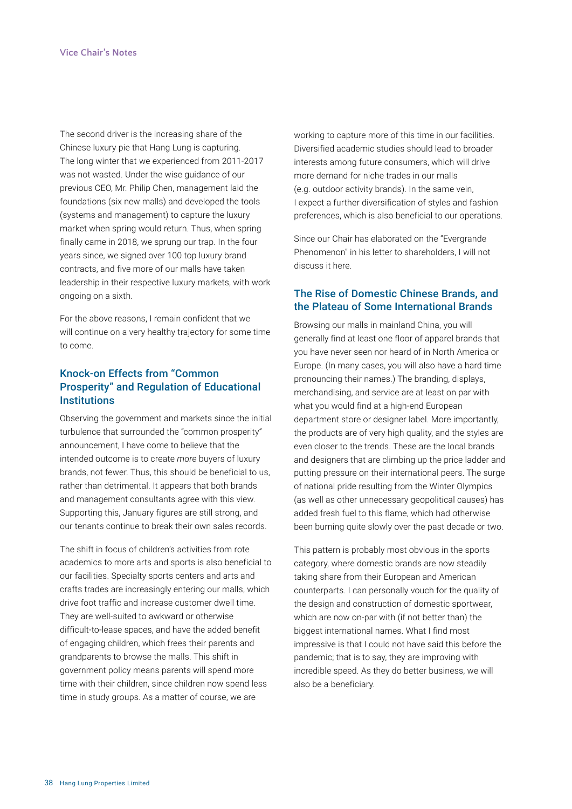The second driver is the increasing share of the Chinese luxury pie that Hang Lung is capturing. The long winter that we experienced from 2011-2017 was not wasted. Under the wise guidance of our previous CEO, Mr. Philip Chen, management laid the foundations (six new malls) and developed the tools (systems and management) to capture the luxury market when spring would return. Thus, when spring finally came in 2018, we sprung our trap. In the four years since, we signed over 100 top luxury brand contracts, and five more of our malls have taken leadership in their respective luxury markets, with work ongoing on a sixth.

For the above reasons, I remain confident that we will continue on a very healthy trajectory for some time to come.

### Knock-on Effects from "Common Prosperity" and Regulation of Educational **Institutions**

Observing the government and markets since the initial turbulence that surrounded the "common prosperity" announcement, I have come to believe that the intended outcome is to create *more* buyers of luxury brands, not fewer. Thus, this should be beneficial to us, rather than detrimental. It appears that both brands and management consultants agree with this view. Supporting this, January figures are still strong, and our tenants continue to break their own sales records.

The shift in focus of children's activities from rote academics to more arts and sports is also beneficial to our facilities. Specialty sports centers and arts and crafts trades are increasingly entering our malls, which drive foot traffic and increase customer dwell time. They are well-suited to awkward or otherwise difficult-to-lease spaces, and have the added benefit of engaging children, which frees their parents and grandparents to browse the malls. This shift in government policy means parents will spend more time with their children, since children now spend less time in study groups. As a matter of course, we are

working to capture more of this time in our facilities. Diversified academic studies should lead to broader interests among future consumers, which will drive more demand for niche trades in our malls (e.g. outdoor activity brands). In the same vein, I expect a further diversification of styles and fashion preferences, which is also beneficial to our operations.

Since our Chair has elaborated on the "Evergrande Phenomenon" in his letter to shareholders, I will not discuss it here.

#### The Rise of Domestic Chinese Brands, and the Plateau of Some International Brands

Browsing our malls in mainland China, you will generally find at least one floor of apparel brands that you have never seen nor heard of in North America or Europe. (In many cases, you will also have a hard time pronouncing their names.) The branding, displays, merchandising, and service are at least on par with what you would find at a high-end European department store or designer label. More importantly, the products are of very high quality, and the styles are even closer to the trends. These are the local brands and designers that are climbing up the price ladder and putting pressure on their international peers. The surge of national pride resulting from the Winter Olympics (as well as other unnecessary geopolitical causes) has added fresh fuel to this flame, which had otherwise been burning quite slowly over the past decade or two.

This pattern is probably most obvious in the sports category, where domestic brands are now steadily taking share from their European and American counterparts. I can personally vouch for the quality of the design and construction of domestic sportwear, which are now on-par with (if not better than) the biggest international names. What I find most impressive is that I could not have said this before the pandemic; that is to say, they are improving with incredible speed. As they do better business, we will also be a beneficiary.